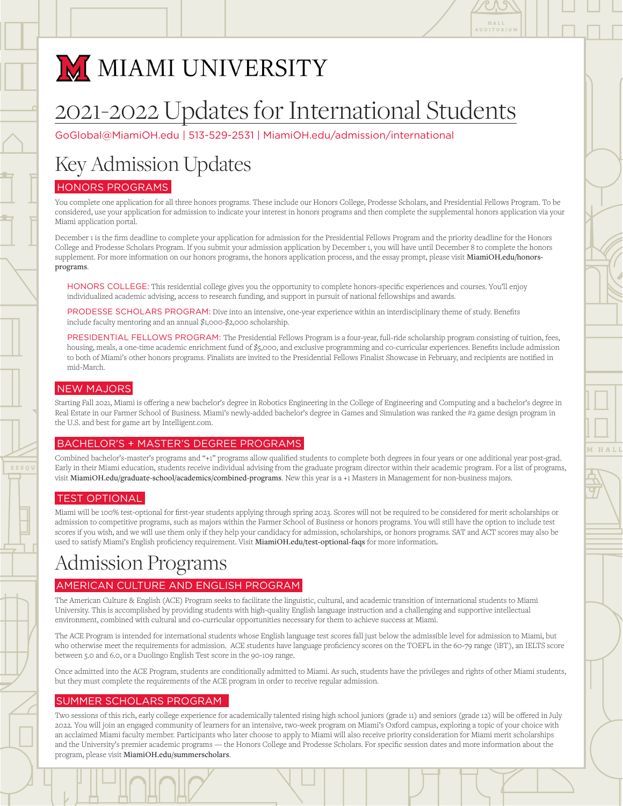# M MIAMI UNIVERSITY

## 2021-2022 Updates for International Students 2021-2022 Updates for International Students

GoGlobal@MiamiOH.edu | 513-529-2531 [| MiamiOH.edu/admission/international](https://www.miamioh.edu/admission-aid/international-students/index.html) GoGlobal@MiamiOH.edu 513-529-2531 MiamiOH.edu/admission/international

## Key Admission Updates Key Admission Updates

### HONORS PROGRAMS HONORS PROGRAMS

You complete one application for all three honors programs. These include our Honors College, Prodesse Scholars, and Presidential Fellows Program. To be considered, use your application for admission to indicate your interest in honors programs and then complete the supplemental honors application via your Miami application portal.

December 1 is the firm deadline to complete your application for admission for the Presidential Fellows Program and the priority deadline for the Honors College and Prodesse Scholars Program. If you submit your admission application by December 1, you will have until December 8 to complete the honors supplement. For more information on our honors programs, the honors application process, and the essay prompt, please visit MiamiOH.edu/honors[programs](https://miamioh.edu/academics/honors-programs/honors-college/).

HONORS COLLEGE: This residential college gives you the opportunity to complete honors-specific experiences and courses. You'll enjoy individualized academic advising, access to research funding, and support in pursuit of national fellowships and awards. access to research funding to research funding to complete nonors-

PRODESSE SCHOLARS PROGRAM: Dive into an intensive, one-year experience within an interdisciplinary theme of study. Benefits include faculty mentoring and an annual \$1,000-\$2,000 scholarship. faculty mentoring and an annual \$1,000-\$2,000 scholarship.

PRESIDENTIAL FELLOWS PROGRAM: The Presidential Fellows Program is a four-year, full-ride scholarship program consisting of tuition, fees, housing, meals, a one-time academic enrichment fund of \$5,000, and exclusive programming and co-curricular experiences. Benefits include admission to both of Miami's other honors programs. Finalists are invited to the Presidential Fellows Finalist Showcase in February, and recipients are notified in mid-March.  $t_{\rm H}$  tund of  $\phi_{\rm D}$ ,  $\phi$  and exclusive programming and co-curricular experiences. Benents include admiss

#### NEW MAJORS NEW MAJORS

Starting Fall 2021, Miami is offering a new bachelor's degree in Robotics Engineering in the College of Engineering and Computing and a bachelor's degree in Real Estate in our Farmer School of Business. Miami's newly-added bachelor's degree in Games and Simulation was ranked the #2 game design program in the U.S. and best for game art by Intelligent.com.

#### BACHELOR'S + MASTER'S DEGREE PROGRAMS BACHELOR'S + MASTER'S DEGREE PROGRAMS

Combined bachelor's-master's programs and "+1" programs allow qualified students to complete both degrees in four years or one additional year post-grad. Early in their Miami education, students receive individual advising from the graduate program director within their academic program. For a list of programs, visit [MiamiOH.edu/graduate-school/academics/combined-programs](https://miamioh.edu/graduate-school/academics/combined-programs/). New this year is a +1 Masters in Management for non-business majors.

#### TEST OPTIONAL TEST OPTIONAL

Miami will be 100% test-optional for first-year students applying through spring 2023. Scores will not be required to be considered for merit scholarships or admission to competitive programs, such as majors within the Farmer School of Business or honors programs. You will still have the option to include test scores if you wish, and we will use them only if they help your candidacy for admission, scholarships, or honors programs. SAT and ACT scores may also be used to satisfy Miami's English proficiency requirement. Visit [MiamiOH.edu/test-optional-faqs](https://miamioh.edu/admission/high-school/application/test-optional-faqs/) for more information.

### Admission Programs

#### AMERICAN CULTURE AND ENGLISH PROGRAM AMERICAN CULTURE AND ENGLISH PROGRAM

The American Culture & English (ACE) Program seeks to facilitate the linguistic, cultural, and academic transition of international students to Miami University. This is accomplished by providing students with high-quality English language instruction and a challenging and supportive intellectual environment, combined with cultural and co-curricular opportunities necessary for them to achieve success at Miami.

The ACE Program is intended for international students whose English language test scores fall just below the admissible level for admission to Miami, but who otherwise meet the requirements for admission. ACE students have language proficiency scores on the TOEFL in the 60-79 range (iBT), an IELTS score between 5.0 and 6.0, or a Duolingo English Test score in the 90-109 range.

Once admitted into the ACE Program, students are conditionally admitted to Miami. As such, students have the privileges and rights of other Miami students, but they must complete the requirements of the ACE program in order to receive regular admission. but they must complete the requirements of the ACE program in order to receive regular admission.

#### SUMMER SCHOLARS PROGRAM SUMMER SCHOLARS PROGRAM

Two sessions of this rich, early college experience for academically talented rising high school juniors (grade 11) and seniors (grade 12) will be offered in July 2022. You will join an engaged community of learners for an intensive, two-week program on Miami's Oxford campus, exploring a topic of your choice with an acclaimed Miami faculty member. Participants who later choose to apply to Miami will also receive priority consideration for Miami merit scholarships and the University's premier academic programs — the Honors College and Prodesse Scholars. For specific session dates and more information about the program, please visit [MiamiOH.edu/summerscholars](https://miamioh.edu/admission/high-school/summer-scholars/). MiamiOH.edu/summerscholars